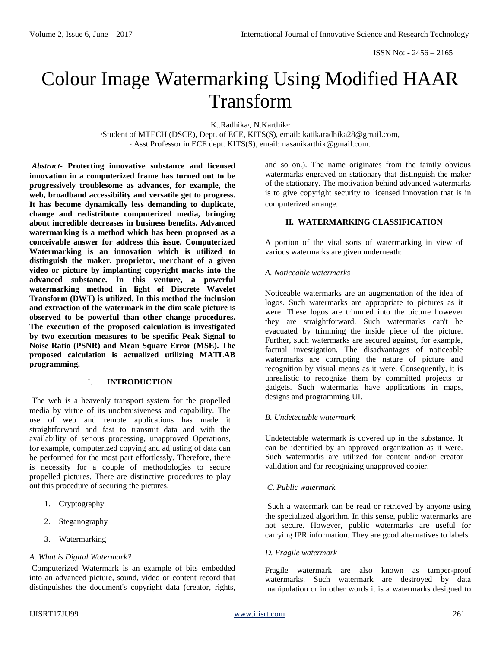# Colour Image Watermarking Using Modified HAAR Transform

K..Radhika<sup>1</sup>, N.Karthik<sup>#2</sup>

<sup>1</sup>Student of MTECH (DSCE), Dept. of ECE, KITS(S), email: katikaradhika28@gmail.com, <sup>2</sup> Asst Professor in ECE dept. KITS(S), email: nasanikarthik@gmail.com.

*Abstract-* **Protecting innovative substance and licensed innovation in a computerized frame has turned out to be progressively troublesome as advances, for example, the web, broadband accessibility and versatile get to progress. It has become dynamically less demanding to duplicate, change and redistribute computerized media, bringing about incredible decreases in business benefits. Advanced watermarking is a method which has been proposed as a conceivable answer for address this issue. Computerized Watermarking is an innovation which is utilized to distinguish the maker, proprietor, merchant of a given video or picture by implanting copyright marks into the advanced substance. In this venture, a powerful watermarking method in light of Discrete Wavelet Transform (DWT) is utilized. In this method the inclusion and extraction of the watermark in the dim scale picture is observed to be powerful than other change procedures. The execution of the proposed calculation is investigated by two execution measures to be specific Peak Signal to Noise Ratio (PSNR) and Mean Square Error (MSE). The proposed calculation is actualized utilizing MATLAB programming.**

#### I. **INTRODUCTION**

The web is a heavenly transport system for the propelled media by virtue of its unobtrusiveness and capability. The use of web and remote applications has made it straightforward and fast to transmit data and with the availability of serious processing, unapproved Operations, for example, computerized copying and adjusting of data can be performed for the most part effortlessly. Therefore, there is necessity for a couple of methodologies to secure propelled pictures. There are distinctive procedures to play out this procedure of securing the pictures.

- 1. Cryptography
- 2. Steganography
- 3. Watermarking

#### *A. What is Digital Watermark?*

Computerized Watermark is an example of bits embedded into an advanced picture, sound, video or content record that distinguishes the document's copyright data (creator, rights, and so on.). The name originates from the faintly obvious watermarks engraved on stationary that distinguish the maker of the stationary. The motivation behind advanced watermarks is to give copyright security to licensed innovation that is in computerized arrange.

## **II. WATERMARKING CLASSIFICATION**

A portion of the vital sorts of watermarking in view of various watermarks are given underneath:

#### *A. Noticeable watermarks*

Noticeable watermarks are an augmentation of the idea of logos. Such watermarks are appropriate to pictures as it were. These logos are trimmed into the picture however they are straightforward. Such watermarks can't be evacuated by trimming the inside piece of the picture. Further, such watermarks are secured against, for example, factual investigation. The disadvantages of noticeable watermarks are corrupting the nature of picture and recognition by visual means as it were. Consequently, it is unrealistic to recognize them by committed projects or gadgets. Such watermarks have applications in maps, designs and programming UI.

# *B. Undetectable watermark*

Undetectable watermark is covered up in the substance. It can be identified by an approved organization as it were. Such watermarks are utilized for content and/or creator validation and for recognizing unapproved copier.

#### *C. Public watermark*

Such a watermark can be read or retrieved by anyone using the specialized algorithm. In this sense, public watermarks are not secure. However, public watermarks are useful for carrying IPR information. They are good alternatives to labels.

#### *D. Fragile watermark*

Fragile watermark are also known as tamper-proof watermarks. Such watermark are destroyed by data manipulation or in other words it is a watermarks designed to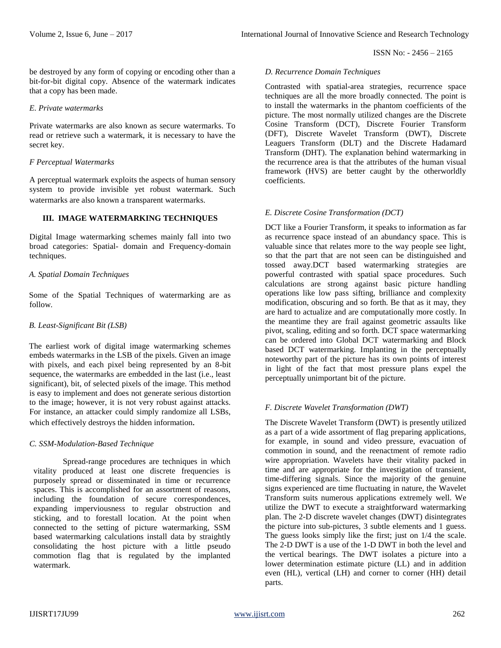be destroyed by any form of copying or encoding other than a bit-for-bit digital copy. Absence of the watermark indicates that a copy has been made.

## *E. Private watermarks*

Private watermarks are also known as secure watermarks. To read or retrieve such a watermark, it is necessary to have the secret key.

### *F Perceptual Watermarks*

A perceptual watermark exploits the aspects of human sensory system to provide invisible yet robust watermark. Such watermarks are also known a transparent watermarks.

# **III. IMAGE WATERMARKING TECHNIQUES**

Digital Image watermarking schemes mainly fall into two broad categories: Spatial- domain and Frequency-domain techniques.

# *A. Spatial Domain Techniques*

Some of the Spatial Techniques of watermarking are as follow.

# *B. Least-Significant Bit (LSB)*

The earliest work of digital image watermarking schemes embeds watermarks in the LSB of the pixels. Given an image with pixels, and each pixel being represented by an 8-bit sequence, the watermarks are embedded in the last (i.e., least significant), bit, of selected pixels of the image. This method is easy to implement and does not generate serious distortion to the image; however, it is not very robust against attacks. For instance, an attacker could simply randomize all LSBs, which effectively destroys the hidden information*.*

# *C. SSM-Modulation-Based Technique*

Spread-range procedures are techniques in which vitality produced at least one discrete frequencies is purposely spread or disseminated in time or recurrence spaces. This is accomplished for an assortment of reasons, including the foundation of secure correspondences, expanding imperviousness to regular obstruction and sticking, and to forestall location. At the point when connected to the setting of picture watermarking, SSM based watermarking calculations install data by straightly consolidating the host picture with a little pseudo commotion flag that is regulated by the implanted watermark.

## *D. Recurrence Domain Techniques*

Contrasted with spatial-area strategies, recurrence space techniques are all the more broadly connected. The point is to install the watermarks in the phantom coefficients of the picture. The most normally utilized changes are the Discrete Cosine Transform (DCT), Discrete Fourier Transform (DFT), Discrete Wavelet Transform (DWT), Discrete Leaguers Transform (DLT) and the Discrete Hadamard Transform (DHT). The explanation behind watermarking in the recurrence area is that the attributes of the human visual framework (HVS) are better caught by the otherworldly coefficients.

# *E. Discrete Cosine Transformation (DCT)*

DCT like a Fourier Transform, it speaks to information as far as recurrence space instead of an abundancy space. This is valuable since that relates more to the way people see light, so that the part that are not seen can be distinguished and tossed away.DCT based watermarking strategies are powerful contrasted with spatial space procedures. Such calculations are strong against basic picture handling operations like low pass sifting, brilliance and complexity modification, obscuring and so forth. Be that as it may, they are hard to actualize and are computationally more costly. In the meantime they are frail against geometric assaults like pivot, scaling, editing and so forth. DCT space watermarking can be ordered into Global DCT watermarking and Block based DCT watermarking. Implanting in the perceptually noteworthy part of the picture has its own points of interest in light of the fact that most pressure plans expel the perceptually unimportant bit of the picture.

# *F. Discrete Wavelet Transformation (DWT)*

The Discrete Wavelet Transform (DWT) is presently utilized as a part of a wide assortment of flag preparing applications, for example, in sound and video pressure, evacuation of commotion in sound, and the reenactment of remote radio wire appropriation. Wavelets have their vitality packed in time and are appropriate for the investigation of transient, time-differing signals. Since the majority of the genuine signs experienced are time fluctuating in nature, the Wavelet Transform suits numerous applications extremely well. We utilize the DWT to execute a straightforward watermarking plan. The 2-D discrete wavelet changes (DWT) disintegrates the picture into sub-pictures, 3 subtle elements and 1 guess. The guess looks simply like the first; just on  $1/4$  the scale. The 2-D DWT is a use of the 1-D DWT in both the level and the vertical bearings. The DWT isolates a picture into a lower determination estimate picture (LL) and in addition even (HL), vertical (LH) and corner to corner (HH) detail parts.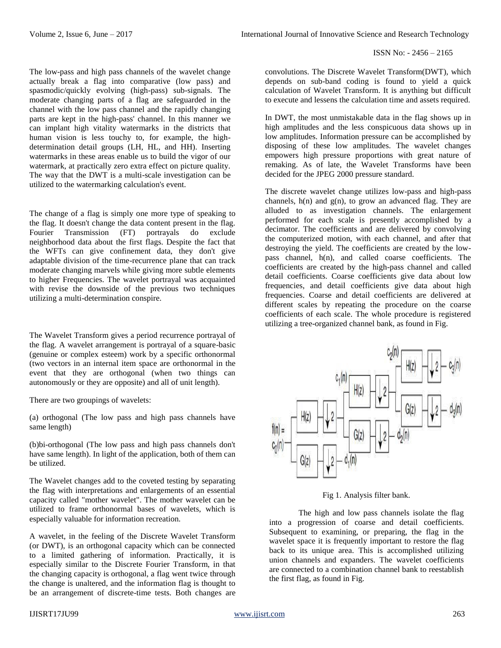#### ISSN No: - 2456 – 2165

The low-pass and high pass channels of the wavelet change actually break a flag into comparative (low pass) and spasmodic/quickly evolving (high-pass) sub-signals. The moderate changing parts of a flag are safeguarded in the channel with the low pass channel and the rapidly changing parts are kept in the high-pass' channel. In this manner we can implant high vitality watermarks in the districts that human vision is less touchy to, for example, the highdetermination detail groups (LH, HL, and HH). Inserting watermarks in these areas enable us to build the vigor of our watermark, at practically zero extra effect on picture quality. The way that the DWT is a multi-scale investigation can be utilized to the watermarking calculation's event.

The change of a flag is simply one more type of speaking to the flag. It doesn't change the data content present in the flag. Fourier Transmission (FT) portrayals do exclude neighborhood data about the first flags. Despite the fact that the WFTs can give confinement data, they don't give adaptable division of the time-recurrence plane that can track moderate changing marvels while giving more subtle elements to higher Frequencies. The wavelet portrayal was acquainted with revise the downside of the previous two techniques utilizing a multi-determination conspire.

The Wavelet Transform gives a period recurrence portrayal of the flag. A wavelet arrangement is portrayal of a square-basic (genuine or complex esteem) work by a specific orthonormal (two vectors in an internal item space are orthonormal in the event that they are orthogonal (when two things can autonomously or they are opposite) and all of unit length).

There are two groupings of wavelets:

(a) orthogonal (The low pass and high pass channels have same length)

(b)bi-orthogonal (The low pass and high pass channels don't have same length). In light of the application, both of them can be utilized.

The Wavelet changes add to the coveted testing by separating the flag with interpretations and enlargements of an essential capacity called "mother wavelet". The mother wavelet can be utilized to frame orthonormal bases of wavelets, which is especially valuable for information recreation.

A wavelet, in the feeling of the Discrete Wavelet Transform (or DWT), is an orthogonal capacity which can be connected to a limited gathering of information. Practically, it is especially similar to the Discrete Fourier Transform, in that the changing capacity is orthogonal, a flag went twice through the change is unaltered, and the information flag is thought to be an arrangement of discrete-time tests. Both changes are

convolutions. The Discrete Wavelet Transform(DWT), which depends on sub-band coding is found to yield a quick calculation of Wavelet Transform. It is anything but difficult to execute and lessens the calculation time and assets required.

In DWT, the most unmistakable data in the flag shows up in high amplitudes and the less conspicuous data shows up in low amplitudes. Information pressure can be accomplished by disposing of these low amplitudes. The wavelet changes empowers high pressure proportions with great nature of remaking. As of late, the Wavelet Transforms have been decided for the JPEG 2000 pressure standard.

The discrete wavelet change utilizes low-pass and high-pass channels,  $h(n)$  and  $g(n)$ , to grow an advanced flag. They are alluded to as investigation channels. The enlargement performed for each scale is presently accomplished by a decimator. The coefficients and are delivered by convolving the computerized motion, with each channel, and after that destroying the yield. The coefficients are created by the lowpass channel, h(n), and called coarse coefficients. The coefficients are created by the high-pass channel and called detail coefficients. Coarse coefficients give data about low frequencies, and detail coefficients give data about high frequencies. Coarse and detail coefficients are delivered at different scales by repeating the procedure on the coarse coefficients of each scale. The whole procedure is registered utilizing a tree-organized channel bank, as found in Fig.



Fig 1. Analysis filter bank.

The high and low pass channels isolate the flag into a progression of coarse and detail coefficients. Subsequent to examining, or preparing, the flag in the wavelet space it is frequently important to restore the flag back to its unique area. This is accomplished utilizing union channels and expanders. The wavelet coefficients are connected to a combination channel bank to reestablish the first flag, as found in Fig.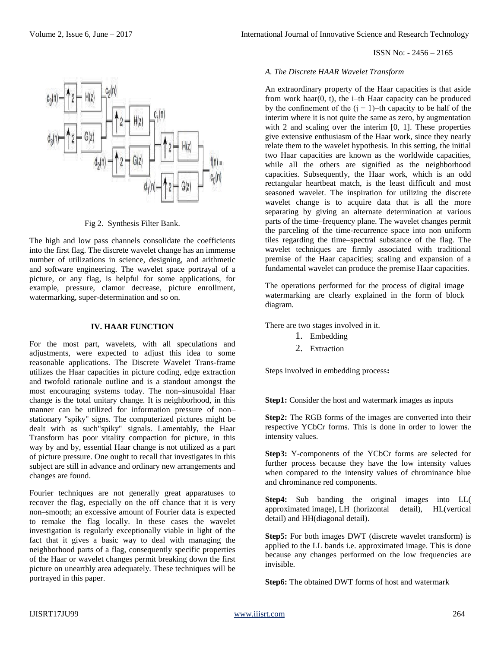#### ISSN No: - 2456 – 2165



An extraordinary property of the Haar capacities is that aside from work haar(0, t), the i–th Haar capacity can be produced by the confinement of the  $(j - 1)$ –th capacity to be half of the interim where it is not quite the same as zero, by augmentation with 2 and scaling over the interim [0, 1]. These properties give extensive enthusiasm of the Haar work, since they nearly relate them to the wavelet hypothesis. In this setting, the initial two Haar capacities are known as the worldwide capacities, while all the others are signified as the neighborhood capacities. Subsequently, the Haar work, which is an odd rectangular heartbeat match, is the least difficult and most seasoned wavelet. The inspiration for utilizing the discrete wavelet change is to acquire data that is all the more separating by giving an alternate determination at various parts of the time–frequency plane. The wavelet changes permit the parceling of the time-recurrence space into non uniform tiles regarding the time–spectral substance of the flag. The wavelet techniques are firmly associated with traditional premise of the Haar capacities; scaling and expansion of a fundamental wavelet can produce the premise Haar capacities.

The operations performed for the process of digital image watermarking are clearly explained in the form of block diagram.

There are two stages involved in it.

- 1. Embedding
- 2. Extraction

Steps involved in embedding process**:**

**Step1:** Consider the host and watermark images as inputs

**Step2:** The RGB forms of the images are converted into their respective YCbCr forms. This is done in order to lower the intensity values.

**Step3:** Y-components of the YCbCr forms are selected for further process because they have the low intensity values when compared to the intensity values of chrominance blue and chrominance red components.

**Step4:** Sub banding the original images into LL( approximated image), LH (horizontal detail), HL(vertical detail) and HH(diagonal detail).

**Step5:** For both images DWT (discrete wavelet transform) is applied to the LL bands i.e. approximated image. This is done because any changes performed on the low frequencies are invisible.

**Step6:** The obtained DWT forms of host and watermark



Fig 2. Synthesis Filter Bank.

The high and low pass channels consolidate the coefficients into the first flag. The discrete wavelet change has an immense number of utilizations in science, designing, and arithmetic and software engineering. The wavelet space portrayal of a picture, or any flag, is helpful for some applications, for example, pressure, clamor decrease, picture enrollment, watermarking, super-determination and so on.

#### **IV. HAAR FUNCTION**

For the most part, wavelets, with all speculations and adjustments, were expected to adjust this idea to some reasonable applications. The Discrete Wavelet Trans-frame utilizes the Haar capacities in picture coding, edge extraction and twofold rationale outline and is a standout amongst the most encouraging systems today. The non–sinusoidal Haar change is the total unitary change. It is neighborhood, in this manner can be utilized for information pressure of non– stationary "spiky" signs. The computerized pictures might be dealt with as such"spiky" signals. Lamentably, the Haar Transform has poor vitality compaction for picture, in this way by and by, essential Haar change is not utilized as a part of picture pressure. One ought to recall that investigates in this subject are still in advance and ordinary new arrangements and changes are found.

Fourier techniques are not generally great apparatuses to recover the flag, especially on the off chance that it is very non–smooth; an excessive amount of Fourier data is expected to remake the flag locally. In these cases the wavelet investigation is regularly exceptionally viable in light of the fact that it gives a basic way to deal with managing the neighborhood parts of a flag, consequently specific properties of the Haar or wavelet changes permit breaking down the first picture on unearthly area adequately. These techniques will be portrayed in this paper.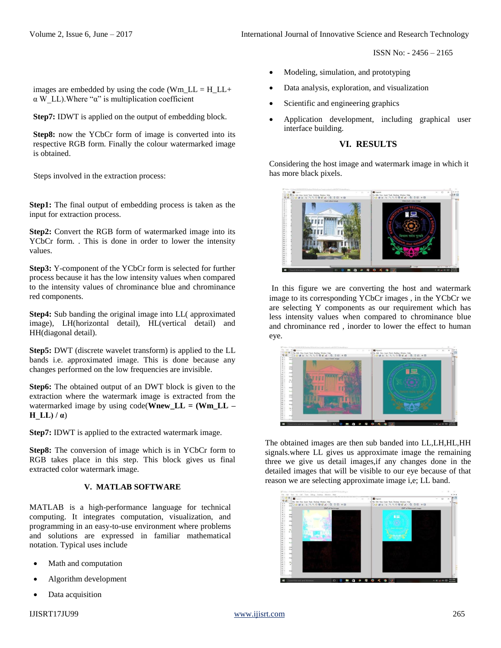ISSN No: - 2456 – 2165

images are embedded by using the code (Wm\_LL =  $H$ \_LL+  $\alpha$  W LL). Where " $\alpha$ " is multiplication coefficient

**Step7:** IDWT is applied on the output of embedding block.

Step8: now the YCbCr form of image is converted into its respective RGB form. Finally the colour watermarked image is obtained.

Steps involved in the extraction process:

**Step1:** The final output of embedding process is taken as the input for extraction process.

**Step2:** Convert the RGB form of watermarked image into its YCbCr form. . This is done in order to lower the intensity values.

**Step3:** Y-component of the YCbCr form is selected for further process because it has the low intensity values when compared to the intensity values of chrominance blue and chrominance red components.

**Step4:** Sub banding the original image into LL( approximated image), LH(horizontal detail), HL(vertical detail) and HH(diagonal detail).

**Step5:** DWT (discrete wavelet transform) is applied to the LL bands i.e. approximated image. This is done because any changes performed on the low frequencies are invisible.

**Step6:** The obtained output of an DWT block is given to the extraction where the watermark image is extracted from the watermarked image by using code(**Wnew\_LL = (Wm\_LL – H** LL $)$  /  $\alpha$ )

**Step7: IDWT** is applied to the extracted watermark image.

**Step8:** The conversion of image which is in YCbCr form to RGB takes place in this step. This block gives us final extracted color watermark image.

# **V. MATLAB SOFTWARE**

MATLAB is a high-performance language for technical computing. It integrates computation, visualization, and programming in an easy-to-use environment where problems and solutions are expressed in familiar mathematical notation. Typical uses include

- Math and computation
- Algorithm development
- Data acquisition
- Modeling, simulation, and prototyping
- Data analysis, exploration, and visualization
- Scientific and engineering graphics
- Application development, including graphical user interface building.

# **VI. RESULTS**

Considering the host image and watermark image in which it has more black pixels.



In this figure we are converting the host and watermark image to its corresponding YCbCr images , in the YCbCr we are selecting Y components as our requirement which has less intensity values when compared to chrominance blue and chrominance red , inorder to lower the effect to human eye.



The obtained images are then sub banded into LL,LH,HL,HH signals.where LL gives us approximate image the remaining three we give us detail images,if any changes done in the detailed images that will be visible to our eye because of that reason we are selecting approximate image i,e; LL band.

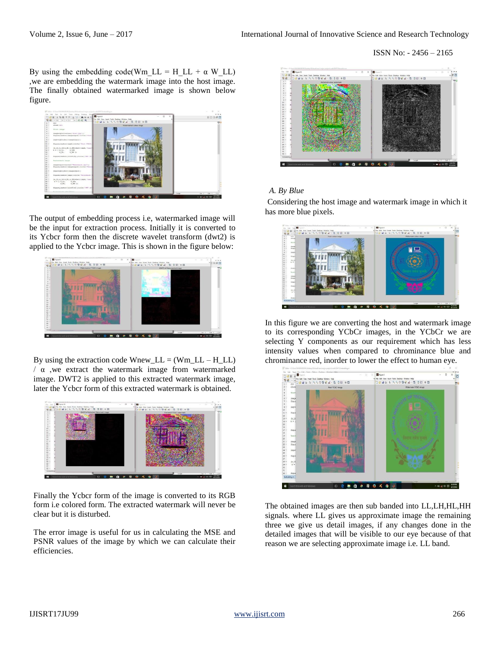By using the embedding code(Wm\_LL = H\_LL +  $\alpha$  W\_LL) ,we are embedding the watermark image into the host image. The finally obtained watermarked image is shown below figure.



The output of embedding process i.e, watermarked image will be the input for extraction process. Initially it is converted to its Ycbcr form then the discrete wavelet transform (dwt2) is applied to the Ycbcr image. This is shown in the figure below:



By using the extraction code  $Wnew_{LL} = (Wm_{LL} - H_{LL})$  $/ α$ , we extract the watermark image from watermarked image. DWT2 is applied to this extracted watermark image, later the Ycbcr form of this extracted watermark is obtained.



Finally the Ycbcr form of the image is converted to its RGB form i.e colored form. The extracted watermark will never be clear but it is disturbed.

The error image is useful for us in calculating the MSE and PSNR values of the image by which we can calculate their efficiencies.



# *A. By Blue*

Considering the host image and watermark image in which it has more blue pixels.



In this figure we are converting the host and watermark image to its corresponding YCbCr images, in the YCbCr we are selecting Y components as our requirement which has less intensity values when compared to chrominance blue and chrominance red, inorder to lower the effect to human eye.



The obtained images are then sub banded into LL,LH,HL,HH signals. where LL gives us approximate image the remaining three we give us detail images, if any changes done in the detailed images that will be visible to our eye because of that reason we are selecting approximate image i.e. LL band.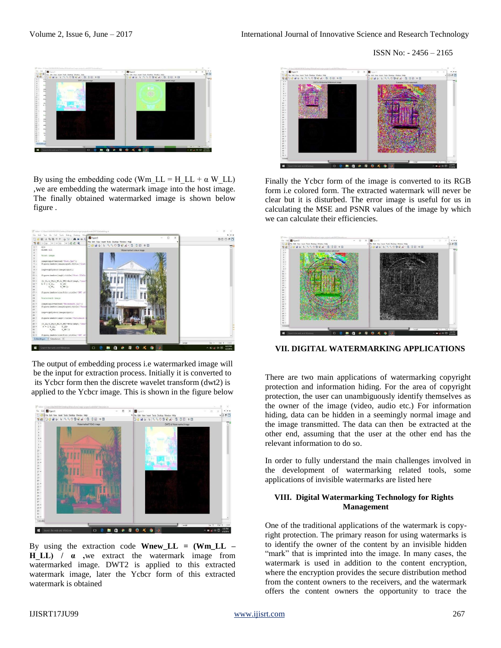ISSN No: - 2456 – 2165



By using the embedding code (Wm\_LL = H\_LL +  $\alpha$  W\_LL) ,we are embedding the watermark image into the host image. The finally obtained watermarked image is shown below figure .



The output of embedding process i.e watermarked image will be the input for extraction process. Initially it is converted to its Ycbcr form then the discrete wavelet transform (dwt2) is applied to the Ycbcr image. This is shown in the figure below



By using the extraction code **Wnew\_LL = (Wm\_LL – H\_LL) / α ,**we extract the watermark image from watermarked image. DWT2 is applied to this extracted watermark image, later the Ycbcr form of this extracted watermark is obtained



Finally the Ycbcr form of the image is converted to its RGB form i.e colored form. The extracted watermark will never be clear but it is disturbed. The error image is useful for us in calculating the MSE and PSNR values of the image by which we can calculate their efficiencies.



**VII. DIGITAL WATERMARKING APPLICATIONS**

There are two main applications of watermarking copyright protection and information hiding. For the area of copyright protection, the user can unambiguously identify themselves as the owner of the image (video, audio etc.) For information hiding, data can be hidden in a seemingly normal image and the image transmitted. The data can then be extracted at the other end, assuming that the user at the other end has the relevant information to do so.

In order to fully understand the main challenges involved in the development of watermarking related tools, some applications of invisible watermarks are listed here

### **VIII. Digital Watermarking Technology for Rights Management**

One of the traditional applications of the watermark is copyright protection. The primary reason for using watermarks is to identify the owner of the content by an invisible hidden "mark" that is imprinted into the image. In many cases, the watermark is used in addition to the content encryption, where the encryption provides the secure distribution method from the content owners to the receivers, and the watermark offers the content owners the opportunity to trace the